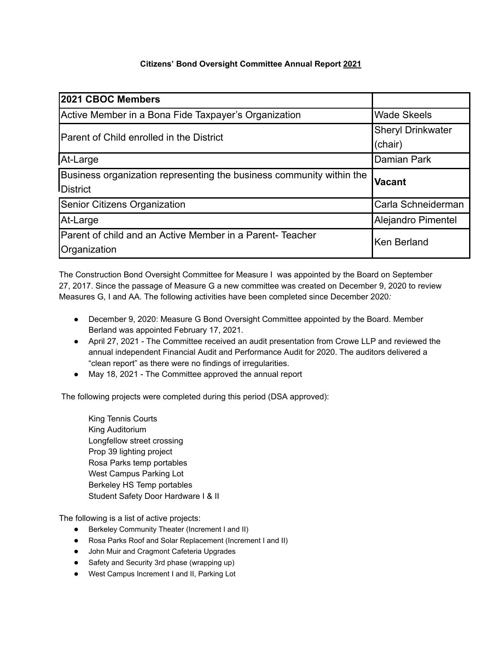## **Citizens' Bond Oversight Committee Annual Report 2021**

| 2021 CBOC Members                                                    |                          |
|----------------------------------------------------------------------|--------------------------|
| Active Member in a Bona Fide Taxpayer's Organization                 | <b>Wade Skeels</b>       |
| Parent of Child enrolled in the District                             | <b>Sheryl Drinkwater</b> |
|                                                                      | (chair)                  |
| At-Large                                                             | <b>Damian Park</b>       |
| Business organization representing the business community within the | <b>Vacant</b>            |
| <b>District</b>                                                      |                          |
| <b>Senior Citizens Organization</b>                                  | Carla Schneiderman       |
| At-Large                                                             | Alejandro Pimentel       |
| Parent of child and an Active Member in a Parent-Teacher             | <b>Ken Berland</b>       |
| Organization                                                         |                          |

The Construction Bond Oversight Committee for Measure I was appointed by the Board on September 27, 2017. Since the passage of Measure G a new committee was created on December 9, 2020 to review Measures G, I and AA. The following activities have been completed since December 2020*:*

- December 9, 2020: Measure G Bond Oversight Committee appointed by the Board. Member Berland was appointed February 17, 2021.
- April 27, 2021 The Committee received an audit presentation from Crowe LLP and reviewed the annual independent Financial Audit and Performance Audit for 2020. The auditors delivered a "clean report" as there were no findings of irregularities.
- May 18, 2021 The Committee approved the annual report

The following projects were completed during this period (DSA approved):

King Tennis Courts King Auditorium Longfellow street crossing Prop 39 lighting project Rosa Parks temp portables West Campus Parking Lot Berkeley HS Temp portables Student Safety Door Hardware I & II

The following is a list of active projects:

- Berkeley Community Theater (Increment I and II)
- Rosa Parks Roof and Solar Replacement (Increment I and II)
- John Muir and Cragmont Cafeteria Upgrades
- Safety and Security 3rd phase (wrapping up)
- West Campus Increment I and II, Parking Lot